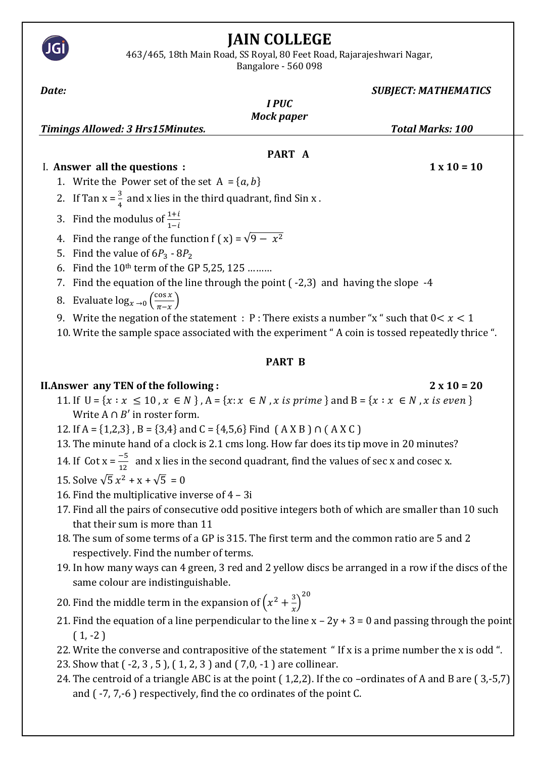# **JAIN COLLEGE**

463/465, 18th Main Road, SS Royal, 80 Feet Road, Rajarajeshwari Nagar,

Bangalore - 560 098

| Date:                                                                                                                             | <b>SUBJECT: MATHEMATICS</b> |
|-----------------------------------------------------------------------------------------------------------------------------------|-----------------------------|
| <b>IPUC</b>                                                                                                                       |                             |
| <b>Mock paper</b>                                                                                                                 |                             |
| <b>Timings Allowed: 3 Hrs15Minutes.</b>                                                                                           | <b>Total Marks: 100</b>     |
|                                                                                                                                   |                             |
| PART A                                                                                                                            |                             |
| I. Answer all the questions :                                                                                                     | $1 \times 10 = 10$          |
| 1. Write the Power set of the set $A = \{a, b\}$                                                                                  |                             |
| 2. If Tan $x = \frac{3}{4}$ and x lies in the third quadrant, find Sin x.                                                         |                             |
| Find the modulus of $\frac{1+i}{1-i}$<br>3.                                                                                       |                             |
| Find the range of the function f (x) = $\sqrt{9 - x^2}$<br>4.                                                                     |                             |
| Find the value of $6P_3 - 8P_2$<br>5.                                                                                             |                             |
| Find the 10 <sup>th</sup> term of the GP 5,25, 125<br>6.                                                                          |                             |
| Find the equation of the line through the point $(-2,3)$ and having the slope $-4$<br>7.                                          |                             |
| Evaluate $\log_{x\to 0} \left( \frac{\cos x}{\pi - x} \right)$                                                                    |                             |
| 8.                                                                                                                                |                             |
| 9. Write the negation of the statement : P: There exists a number "x" such that $0 < x < 1$                                       |                             |
| 10. Write the sample space associated with the experiment "A coin is tossed repeatedly thrice ".                                  |                             |
|                                                                                                                                   |                             |
| <b>PART B</b>                                                                                                                     |                             |
| <b>II. Answer any TEN of the following:</b>                                                                                       | $2 \times 10 = 20$          |
| 11. If $U = \{x : x \le 10, x \in N\}$ , $A = \{x : x \in N, x \text{ is prime}\}\$ and $B = \{x : x \in N, x \text{ is even}\}\$ |                             |
| Write $A \cap B'$ in roster form.                                                                                                 |                             |
| 12. If A = {1,2,3}, B = {3,4} and C = {4,5,6} Find (A X B) $\cap$ (A X C)                                                         |                             |
| 13. The minute hand of a clock is 2.1 cms long. How far does its tip move in 20 minutes?                                          |                             |
| 14. If Cot $x = \frac{-5}{12}$ and x lies in the second quadrant, find the values of sec x and cosec x.                           |                             |
| 15. Solve $\sqrt{5}x^2 + x + \sqrt{5} = 0$                                                                                        |                             |
| 16. Find the multiplicative inverse of 4 - 3i                                                                                     |                             |
| 17. Find all the pairs of consecutive odd positive integers both of which are smaller than 10 such                                |                             |
| that their sum is more than 11                                                                                                    |                             |
| 18. The sum of some terms of a GP is 315. The first term and the common ratio are 5 and 2                                         |                             |
| respectively. Find the number of terms.                                                                                           |                             |
| 19. In how many ways can 4 green, 3 red and 2 yellow discs be arranged in a row if the discs of the                               |                             |
| same colour are indistinguishable.                                                                                                |                             |

- 20. Find the middle term in the expansion of  $\left(x^2 + \frac{3}{x}\right)$  $\left(\frac{3}{x}\right)^{20}$
- 21. Find the equation of a line perpendicular to the line  $x 2y + 3 = 0$  and passing through the point  $(1, -2)$
- 22. Write the converse and contrapositive of the statement " If x is a prime number the x is odd ".
- 23. Show that ( -2, 3 , 5 ), ( 1, 2, 3 ) and ( 7,0, -1 ) are collinear.
- 24. The centroid of a triangle ABC is at the point ( 1,2,2). If the co –ordinates of A and B are ( 3,-5,7) and ( -7, 7,-6 ) respectively, find the co ordinates of the point C.

JGI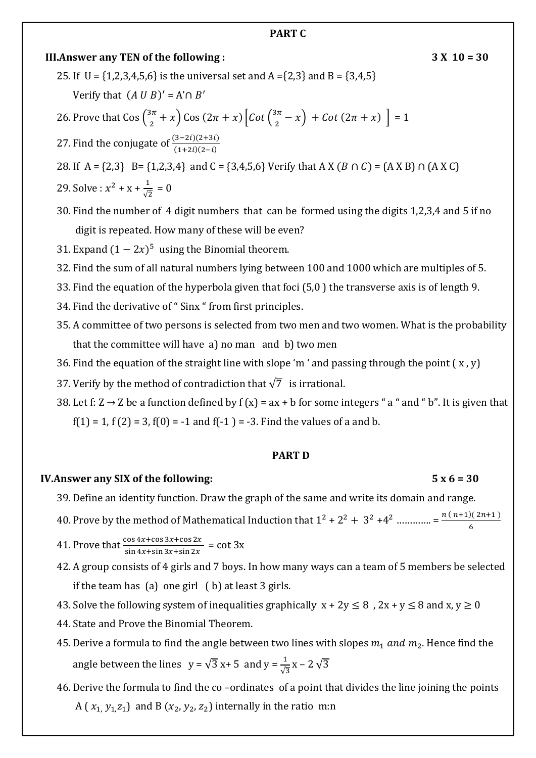#### **PART C**

**III.Answer any TEN of the following :** 3 X 10 = 30

25. If  $U = \{1,2,3,4,5,6\}$  is the universal set and A =  $\{2,3\}$  and B =  $\{3,4,5\}$ 

Verify that  $(A \cup B)' = A' \cap B'$ 

26. Prove that 
$$
\cos\left(\frac{3\pi}{2} + x\right)
$$
  $\cos\left(2\pi + x\right) \left[\cot\left(\frac{3\pi}{2} - x\right) + \cot\left(2\pi + x\right)\right] = 1$ 

27. Find the conjugate of 
$$
\frac{(3-2i)(2+3i)}{(1+2i)(2-i)}
$$

28. If A =  $\{2,3\}$  B =  $\{1,2,3,4\}$  and C =  $\{3,4,5,6\}$  Verify that A X (B  $\cap$  C) =  $(A \times B) \cap (A \times C)$ 

29. Solve : 
$$
x^2 + x + \frac{1}{\sqrt{2}} = 0
$$

30. Find the number of 4 digit numbers that can be formed using the digits 1,2,3,4 and 5 if no digit is repeated. How many of these will be even?

- 31. Expand  $(1 2x)^5$  using the Binomial theorem.
- 32. Find the sum of all natural numbers lying between 100 and 1000 which are multiples of 5.
- 33. Find the equation of the hyperbola given that foci (5,0 ) the transverse axis is of length 9.
- 34. Find the derivative of " Sinx " from first principles.
- 35. A committee of two persons is selected from two men and two women. What is the probability that the committee will have a) no man and b) two men
- 36. Find the equation of the straight line with slope 'm ' and passing through the point  $(x, y)$
- 37. Verify by the method of contradiction that  $\sqrt{7}$  is irrational.
- 38. Let f:  $Z \rightarrow Z$  be a function defined by f (x) = ax + b for some integers " a " and " b". It is given that  $f(1) = 1$ ,  $f(2) = 3$ ,  $f(0) = -1$  and  $f(-1) = -3$ . Find the values of a and b.

#### **PART D**

#### **IV.Answer any SIX of the following: 5 x 6 = 30**

#### 39. Define an identity function. Draw the graph of the same and write its domain and range.

- 40. Prove by the method of Mathematical Induction that  $1^2 + 2^2 + 3^2 + 4^2$  ............... =  $\frac{n(n+1)(2n+1)}{2}$ 6
- 41. Prove that  $\frac{\cos 4x + \cos 3x + \cos 2x}{\sin 4x + \sin 3x + \sin 2x} = \cot 3x$
- 42. A group consists of 4 girls and 7 boys. In how many ways can a team of 5 members be selected if the team has (a) one girl ( b) at least 3 girls.
- 43. Solve the following system of inequalities graphically  $x + 2y \le 8$ ,  $2x + y \le 8$  and  $x, y \ge 0$
- 44. State and Prove the Binomial Theorem.
- 45. Derive a formula to find the angle between two lines with slopes  $m_1$  and  $m_2$ . Hence find the angle between the lines  $y = \sqrt{3}x + 5$  and  $y = \frac{1}{\sqrt{3}}x - 2\sqrt{3}$
- 46. Derive the formula to find the co –ordinates of a point that divides the line joining the points A ( $x_1, y_1, z_1$ ) and B ( $x_2, y_2, z_2$ ) internally in the ratio m:n